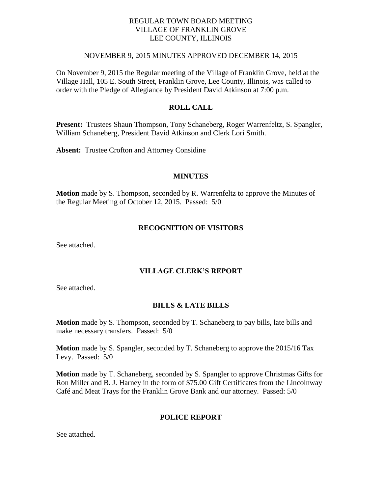#### REGULAR TOWN BOARD MEETING VILLAGE OF FRANKLIN GROVE LEE COUNTY, ILLINOIS

#### NOVEMBER 9, 2015 MINUTES APPROVED DECEMBER 14, 2015

On November 9, 2015 the Regular meeting of the Village of Franklin Grove, held at the Village Hall, 105 E. South Street, Franklin Grove, Lee County, Illinois, was called to order with the Pledge of Allegiance by President David Atkinson at 7:00 p.m.

#### **ROLL CALL**

**Present:** Trustees Shaun Thompson, Tony Schaneberg, Roger Warrenfeltz, S. Spangler, William Schaneberg, President David Atkinson and Clerk Lori Smith.

**Absent:** Trustee Crofton and Attorney Considine

#### **MINUTES**

**Motion** made by S. Thompson, seconded by R. Warrenfeltz to approve the Minutes of the Regular Meeting of October 12, 2015. Passed: 5/0

#### **RECOGNITION OF VISITORS**

See attached.

### **VILLAGE CLERK'S REPORT**

See attached.

#### **BILLS & LATE BILLS**

**Motion** made by S. Thompson, seconded by T. Schaneberg to pay bills, late bills and make necessary transfers. Passed: 5/0

**Motion** made by S. Spangler, seconded by T. Schaneberg to approve the 2015/16 Tax Levy. Passed: 5/0

**Motion** made by T. Schaneberg, seconded by S. Spangler to approve Christmas Gifts for Ron Miller and B. J. Harney in the form of \$75.00 Gift Certificates from the Lincolnway Café and Meat Trays for the Franklin Grove Bank and our attorney. Passed: 5/0

#### **POLICE REPORT**

See attached.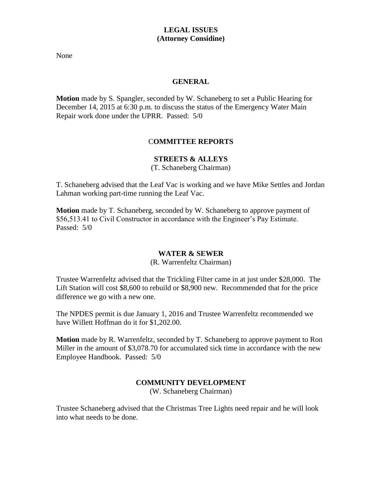### **LEGAL ISSUES (Attorney Considine)**

None

#### **GENERAL**

**Motion** made by S. Spangler, seconded by W. Schaneberg to set a Public Hearing for December 14, 2015 at 6:30 p.m. to discuss the status of the Emergency Water Main Repair work done under the UPRR. Passed: 5/0

## C**OMMITTEE REPORTS**

## **STREETS & ALLEYS**

(T. Schaneberg Chairman)

T. Schaneberg advised that the Leaf Vac is working and we have Mike Settles and Jordan Lahman working part-time running the Leaf Vac.

**Motion** made by T. Schaneberg, seconded by W. Schaneberg to approve payment of \$56,513.41 to Civil Constructor in accordance with the Engineer's Pay Estimate. Passed: 5/0

#### **WATER & SEWER**

(R. Warrenfeltz Chairman)

Trustee Warrenfeltz advised that the Trickling Filter came in at just under \$28,000. The Lift Station will cost \$8,600 to rebuild or \$8,900 new. Recommended that for the price difference we go with a new one.

The NPDES permit is due January 1, 2016 and Trustee Warrenfeltz recommended we have Willett Hoffman do it for \$1,202.00.

**Motion** made by R. Warrenfeltz, seconded by T. Schaneberg to approve payment to Ron Miller in the amount of \$3,078.70 for accumulated sick time in accordance with the new Employee Handbook. Passed: 5/0

## **COMMUNITY DEVELOPMENT**

(W. Schaneberg Chairman)

Trustee Schaneberg advised that the Christmas Tree Lights need repair and he will look into what needs to be done.